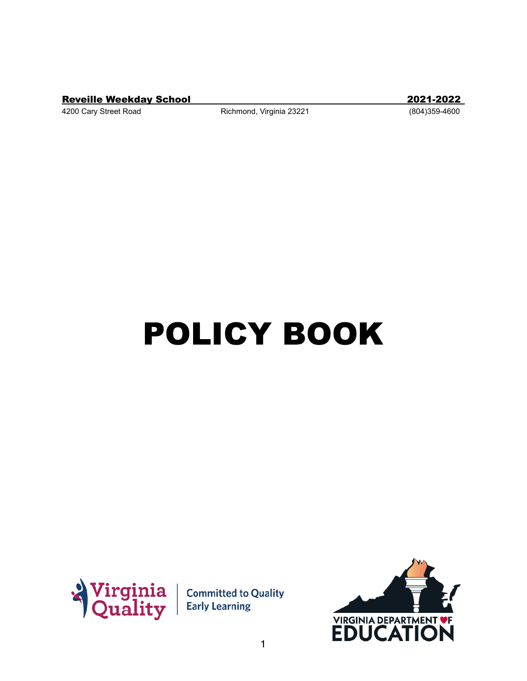Reveille Weekday School 2021-2022

4200 Cary Street Road Richmond, Virginia 23221 (804)359-4600

# POLICY BOOK



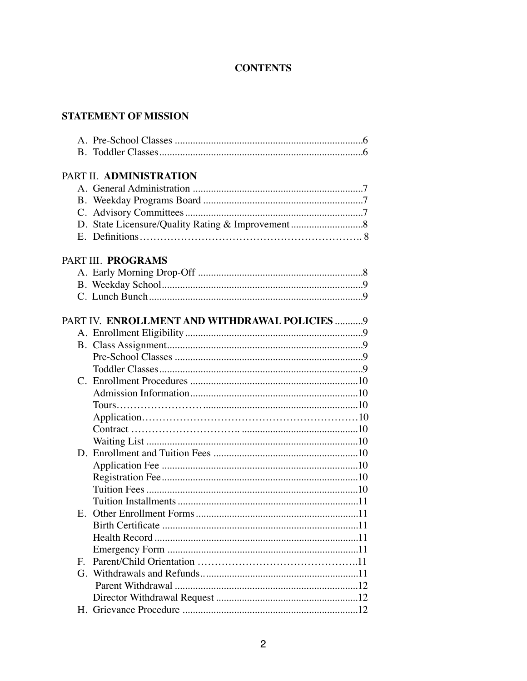# **CONTENTS**

# **STATEMENT OF MISSION**

|              | PART II. ADMINISTRATION                        |
|--------------|------------------------------------------------|
|              |                                                |
|              |                                                |
|              |                                                |
|              |                                                |
|              |                                                |
|              |                                                |
|              | PART III. PROGRAMS                             |
|              |                                                |
|              |                                                |
|              |                                                |
|              |                                                |
|              | PART IV. ENROLLMENT AND WITHDRAWAL POLICIES  9 |
|              |                                                |
|              |                                                |
|              |                                                |
|              |                                                |
|              |                                                |
|              |                                                |
|              |                                                |
|              |                                                |
|              |                                                |
|              |                                                |
|              |                                                |
|              |                                                |
|              |                                                |
|              |                                                |
|              |                                                |
| E.           |                                                |
|              |                                                |
|              |                                                |
|              |                                                |
| $\mathbf{F}$ |                                                |
|              |                                                |
|              |                                                |
|              |                                                |
|              |                                                |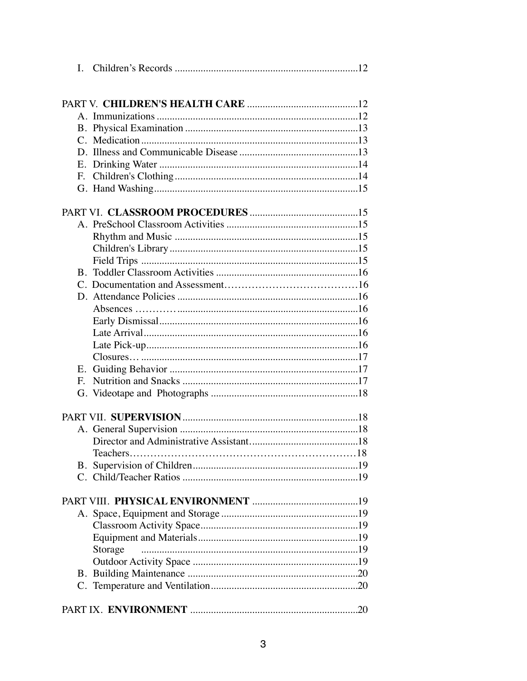| $\mathbf{I}$ . |         |
|----------------|---------|
|                |         |
|                |         |
|                |         |
|                |         |
|                |         |
|                |         |
|                |         |
|                |         |
| F.             |         |
|                |         |
|                |         |
|                |         |
|                |         |
|                |         |
|                |         |
|                |         |
|                |         |
|                |         |
|                |         |
|                |         |
|                |         |
|                |         |
|                |         |
| E.             |         |
| $E_{\rm c}$    |         |
|                |         |
|                |         |
|                |         |
|                |         |
|                |         |
|                |         |
| B.             |         |
|                |         |
|                |         |
|                |         |
|                |         |
|                |         |
|                |         |
|                | Storage |
|                |         |
|                |         |
|                |         |
|                |         |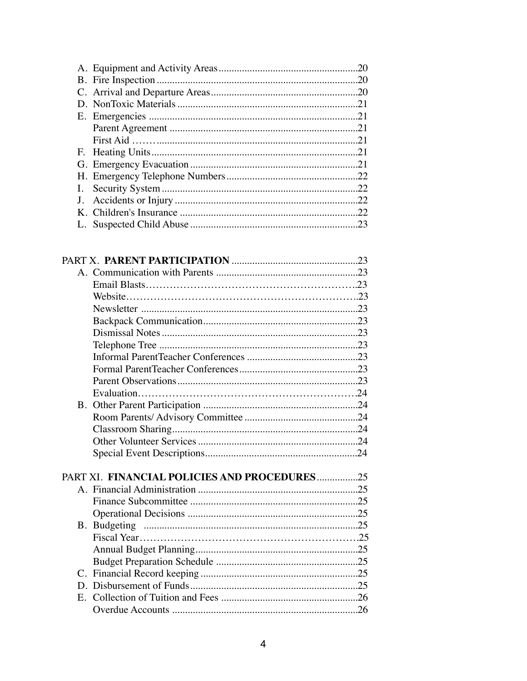|  | .20 |
|--|-----|
|  |     |
|  |     |
|  |     |
|  |     |
|  |     |
|  | .21 |
|  | .21 |
|  |     |
|  | .22 |
|  | .22 |
|  |     |
|  | .23 |
|  |     |

|             | PART XI. FINANCIAL POLICIES AND PROCEDURES25 |  |
|-------------|----------------------------------------------|--|
|             |                                              |  |
|             |                                              |  |
|             |                                              |  |
|             |                                              |  |
|             |                                              |  |
|             |                                              |  |
|             |                                              |  |
|             |                                              |  |
|             |                                              |  |
| $E_{\cdot}$ |                                              |  |
|             |                                              |  |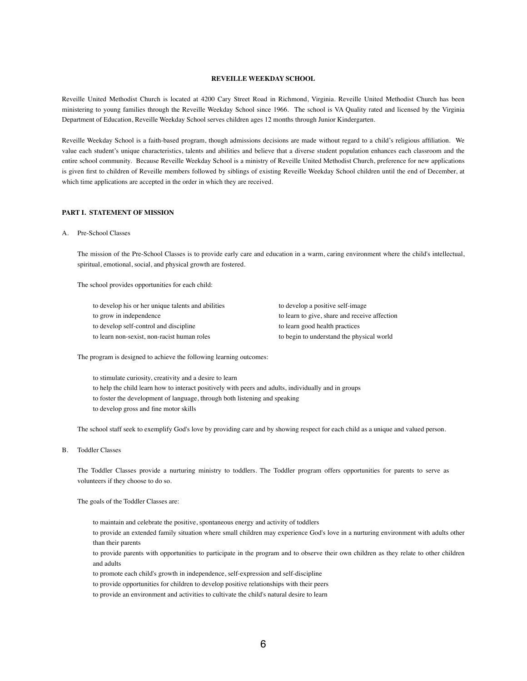# **REVEILLE WEEKDAY SCHOOL**

Reveille United Methodist Church is located at 4200 Cary Street Road in Richmond, Virginia. Reveille United Methodist Church has been ministering to young families through the Reveille Weekday School since 1966. The school is VA Quality rated and licensed by the Virginia Department of Education, Reveille Weekday School serves children ages 12 months through Junior Kindergarten.

Reveille Weekday School is a faith-based program, though admissions decisions are made without regard to a child's religious affiliation. We value each student's unique characteristics, talents and abilities and believe that a diverse student population enhances each classroom and the entire school community. Because Reveille Weekday School is a ministry of Reveille United Methodist Church, preference for new applications is given first to children of Reveille members followed by siblings of existing Reveille Weekday School children until the end of December, at which time applications are accepted in the order in which they are received.

# **PART I. STATEMENT OF MISSION**

# A. Pre-School Classes

The mission of the Pre-School Classes is to provide early care and education in a warm, caring environment where the child's intellectual, spiritual, emotional, social, and physical growth are fostered.

The school provides opportunities for each child:

| to develop his or her unique talents and abilities | to develop a positive self-image              |  |
|----------------------------------------------------|-----------------------------------------------|--|
| to grow in independence                            | to learn to give, share and receive affection |  |
| to develop self-control and discipline             | to learn good health practices                |  |
| to learn non-sexist, non-racist human roles        | to begin to understand the physical world     |  |

The program is designed to achieve the following learning outcomes:

to stimulate curiosity, creativity and a desire to learn to help the child learn how to interact positively with peers and adults, individually and in groups to foster the development of language, through both listening and speaking to develop gross and fine motor skills

The school staff seek to exemplify God's love by providing care and by showing respect for each child as a unique and valued person.

B. Toddler Classes

The Toddler Classes provide a nurturing ministry to toddlers. The Toddler program offers opportunities for parents to serve as volunteers if they choose to do so.

The goals of the Toddler Classes are:

to maintain and celebrate the positive, spontaneous energy and activity of toddlers

to provide an extended family situation where small children may experience God's love in a nurturing environment with adults other than their parents

to provide parents with opportunities to participate in the program and to observe their own children as they relate to other children and adults

to promote each child's growth in independence, self-expression and self-discipline

to provide opportunities for children to develop positive relationships with their peers

to provide an environment and activities to cultivate the child's natural desire to learn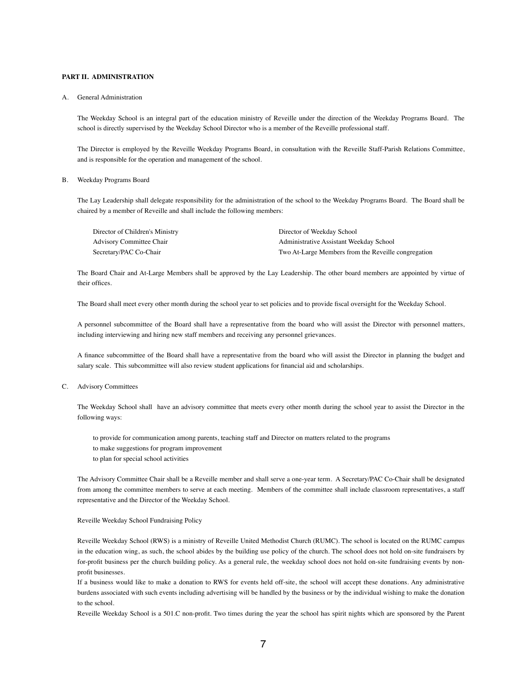# **PART II. ADMINISTRATION**

#### A. General Administration

The Weekday School is an integral part of the education ministry of Reveille under the direction of the Weekday Programs Board. The school is directly supervised by the Weekday School Director who is a member of the Reveille professional staff.

The Director is employed by the Reveille Weekday Programs Board, in consultation with the Reveille Staff-Parish Relations Committee, and is responsible for the operation and management of the school.

# B. Weekday Programs Board

The Lay Leadership shall delegate responsibility for the administration of the school to the Weekday Programs Board. The Board shall be chaired by a member of Reveille and shall include the following members:

| Director of Children's Ministry | Director of Weekday School                          |
|---------------------------------|-----------------------------------------------------|
| Advisory Committee Chair        | Administrative Assistant Weekday School             |
| Secretary/PAC Co-Chair          | Two At-Large Members from the Reveille congregation |

The Board Chair and At-Large Members shall be approved by the Lay Leadership. The other board members are appointed by virtue of their offices.

The Board shall meet every other month during the school year to set policies and to provide fiscal oversight for the Weekday School.

A personnel subcommittee of the Board shall have a representative from the board who will assist the Director with personnel matters, including interviewing and hiring new staff members and receiving any personnel grievances.

A finance subcommittee of the Board shall have a representative from the board who will assist the Director in planning the budget and salary scale. This subcommittee will also review student applications for financial aid and scholarships.

# C. Advisory Committees

The Weekday School shall have an advisory committee that meets every other month during the school year to assist the Director in the following ways:

to provide for communication among parents, teaching staff and Director on matters related to the programs to make suggestions for program improvement to plan for special school activities

The Advisory Committee Chair shall be a Reveille member and shall serve a one-year term. A Secretary/PAC Co-Chair shall be designated from among the committee members to serve at each meeting. Members of the committee shall include classroom representatives, a staff representative and the Director of the Weekday School.

#### Reveille Weekday School Fundraising Policy

Reveille Weekday School (RWS) is a ministry of Reveille United Methodist Church (RUMC). The school is located on the RUMC campus in the education wing, as such, the school abides by the building use policy of the church. The school does not hold on-site fundraisers by for-profit business per the church building policy. As a general rule, the weekday school does not hold on-site fundraising events by nonprofit businesses.

 If a business would like to make a donation to RWS for events held off-site, the school will accept these donations. Any administrative burdens associated with such events including advertising will be handled by the business or by the individual wishing to make the donation to the school.

Reveille Weekday School is a 501.C non-profit. Two times during the year the school has spirit nights which are sponsored by the Parent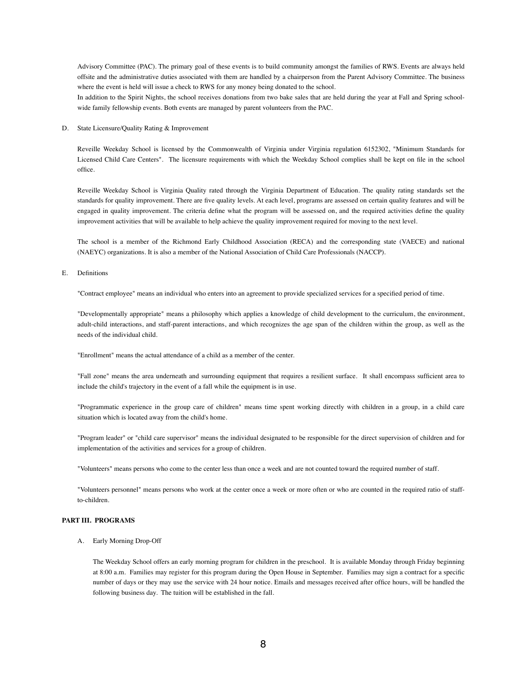Advisory Committee (PAC). The primary goal of these events is to build community amongst the families of RWS. Events are always held offsite and the administrative duties associated with them are handled by a chairperson from the Parent Advisory Committee. The business where the event is held will issue a check to RWS for any money being donated to the school.

In addition to the Spirit Nights, the school receives donations from two bake sales that are held during the year at Fall and Spring schoolwide family fellowship events. Both events are managed by parent volunteers from the PAC.

D. State Licensure/Quality Rating & Improvement

Reveille Weekday School is licensed by the Commonwealth of Virginia under Virginia regulation 6152302, "Minimum Standards for Licensed Child Care Centers". The licensure requirements with which the Weekday School complies shall be kept on file in the school office.

Reveille Weekday School is Virginia Quality rated through the Virginia Department of Education. The quality rating standards set the standards for quality improvement. There are five quality levels. At each level, programs are assessed on certain quality features and will be engaged in quality improvement. The criteria define what the program will be assessed on, and the required activities define the quality improvement activities that will be available to help achieve the quality improvement required for moving to the next level.

The school is a member of the Richmond Early Childhood Association (RECA) and the corresponding state (VAECE) and national (NAEYC) organizations. It is also a member of the National Association of Child Care Professionals (NACCP).

E. Definitions

"Contract employee" means an individual who enters into an agreement to provide specialized services for a specified period of time.

"Developmentally appropriate" means a philosophy which applies a knowledge of child development to the curriculum, the environment, adult-child interactions, and staff-parent interactions, and which recognizes the age span of the children within the group, as well as the needs of the individual child.

"Enrollment" means the actual attendance of a child as a member of the center.

"Fall zone" means the area underneath and surrounding equipment that requires a resilient surface. It shall encompass sufficient area to include the child's trajectory in the event of a fall while the equipment is in use.

"Programmatic experience in the group care of children" means time spent working directly with children in a group, in a child care situation which is located away from the child's home.

"Program leader" or "child care supervisor" means the individual designated to be responsible for the direct supervision of children and for implementation of the activities and services for a group of children.

"Volunteers" means persons who come to the center less than once a week and are not counted toward the required number of staff.

"Volunteers personnel" means persons who work at the center once a week or more often or who are counted in the required ratio of staffto-children.

# **PART III. PROGRAMS**

A. Early Morning Drop-Off

The Weekday School offers an early morning program for children in the preschool. It is available Monday through Friday beginning at 8:00 a.m. Families may register for this program during the Open House in September. Families may sign a contract for a specific number of days or they may use the service with 24 hour notice. Emails and messages received after office hours, will be handled the following business day. The tuition will be established in the fall.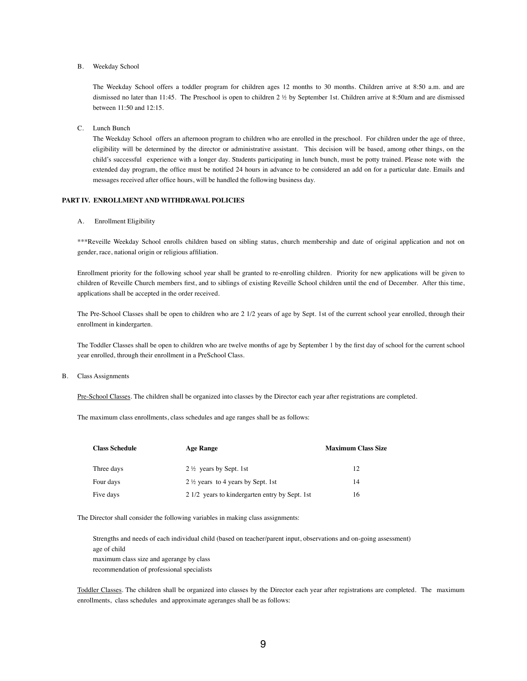B. Weekday School

The Weekday School offers a toddler program for children ages 12 months to 30 months. Children arrive at 8:50 a.m. and are dismissed no later than 11:45. The Preschool is open to children 2 ½ by September 1st. Children arrive at 8:50am and are dismissed between 11:50 and 12:15.

C. Lunch Bunch

The Weekday School offers an afternoon program to children who are enrolled in the preschool. For children under the age of three, eligibility will be determined by the director or administrative assistant. This decision will be based, among other things, on the child's successful experience with a longer day. Students participating in lunch bunch, must be potty trained. Please note with the extended day program, the office must be notified 24 hours in advance to be considered an add on for a particular date. Emails and messages received after office hours, will be handled the following business day.

# **PART IV. ENROLLMENT AND WITHDRAWAL POLICIES**

A. Enrollment Eligibility

\*\*\*Reveille Weekday School enrolls children based on sibling status, church membership and date of original application and not on gender, race, national origin or religious affiliation.

Enrollment priority for the following school year shall be granted to re-enrolling children. Priority for new applications will be given to children of Reveille Church members first, and to siblings of existing Reveille School children until the end of December. After this time, applications shall be accepted in the order received.

The Pre-School Classes shall be open to children who are 2 1/2 years of age by Sept. 1st of the current school year enrolled, through their enrollment in kindergarten.

The Toddler Classes shall be open to children who are twelve months of age by September 1 by the first day of school for the current school year enrolled, through their enrollment in a PreSchool Class.

B. Class Assignments

Pre-School Classes. The children shall be organized into classes by the Director each year after registrations are completed.

The maximum class enrollments, class schedules and age ranges shall be as follows:

| <b>Class Schedule</b> | <b>Age Range</b>                               | <b>Maximum Class Size</b> |
|-----------------------|------------------------------------------------|---------------------------|
| Three days            | $2\frac{1}{2}$ years by Sept. 1st              | 12                        |
| Four days             | 2 \%/2 years to 4 years by Sept. 1st           | 14                        |
| Five days             | 2 1/2 years to kindergarten entry by Sept. 1st | 16                        |

The Director shall consider the following variables in making class assignments:

Strengths and needs of each individual child (based on teacher/parent input, observations and on-going assessment) age of child maximum class size and agerange by class recommendation of professional specialists

Toddler Classes. The children shall be organized into classes by the Director each year after registrations are completed. The maximum enrollments, class schedules and approximate ageranges shall be as follows: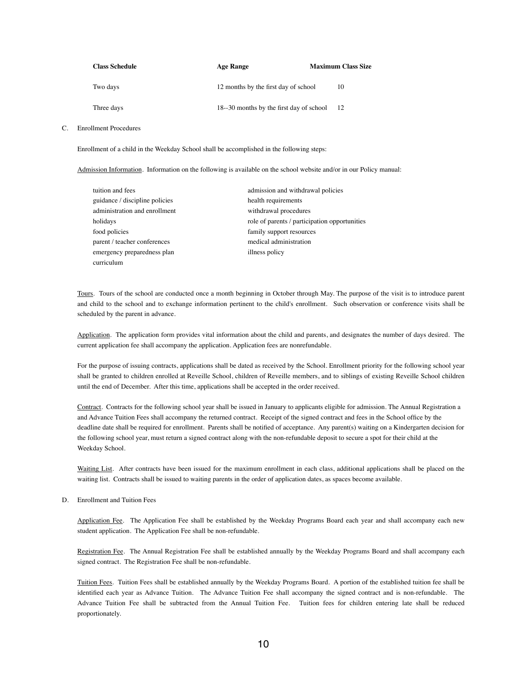| <b>Class Schedule</b> | <b>Age Range</b>                        | <b>Maximum Class Size</b> |
|-----------------------|-----------------------------------------|---------------------------|
| Two days              | 12 months by the first day of school    | 10                        |
| Three days            | 18-30 months by the first day of school | - 12                      |

#### C. Enrollment Procedures

Enrollment of a child in the Weekday School shall be accomplished in the following steps:

Admission Information. Information on the following is available on the school website and/or in our Policy manual:

| tuition and fees               | admission and withdrawal policies             |
|--------------------------------|-----------------------------------------------|
| guidance / discipline policies | health requirements                           |
| administration and enrollment  | withdrawal procedures                         |
| holidays                       | role of parents / participation opportunities |
| food policies                  | family support resources                      |
| parent / teacher conferences   | medical administration                        |
| emergency preparedness plan    | illness policy                                |
| curriculum                     |                                               |

Tours. Tours of the school are conducted once a month beginning in October through May. The purpose of the visit is to introduce parent and child to the school and to exchange information pertinent to the child's enrollment. Such observation or conference visits shall be scheduled by the parent in advance.

Application. The application form provides vital information about the child and parents, and designates the number of days desired. The current application fee shall accompany the application. Application fees are nonrefundable.

For the purpose of issuing contracts, applications shall be dated as received by the School. Enrollment priority for the following school year shall be granted to children enrolled at Reveille School, children of Reveille members, and to siblings of existing Reveille School children until the end of December. After this time, applications shall be accepted in the order received.

Contract. Contracts for the following school year shall be issued in January to applicants eligible for admission. The Annual Registration a and Advance Tuition Fees shall accompany the returned contract. Receipt of the signed contract and fees in the School office by the deadline date shall be required for enrollment. Parents shall be notified of acceptance. Any parent(s) waiting on a Kindergarten decision for the following school year, must return a signed contract along with the non-refundable deposit to secure a spot for their child at the Weekday School.

Waiting List. After contracts have been issued for the maximum enrollment in each class, additional applications shall be placed on the waiting list. Contracts shall be issued to waiting parents in the order of application dates, as spaces become available.

D. Enrollment and Tuition Fees

Application Fee. The Application Fee shall be established by the Weekday Programs Board each year and shall accompany each new student application. The Application Fee shall be non-refundable.

Registration Fee. The Annual Registration Fee shall be established annually by the Weekday Programs Board and shall accompany each signed contract. The Registration Fee shall be non-refundable.

Tuition Fees. Tuition Fees shall be established annually by the Weekday Programs Board. A portion of the established tuition fee shall be identified each year as Advance Tuition. The Advance Tuition Fee shall accompany the signed contract and is non-refundable. The Advance Tuition Fee shall be subtracted from the Annual Tuition Fee. Tuition fees for children entering late shall be reduced proportionately.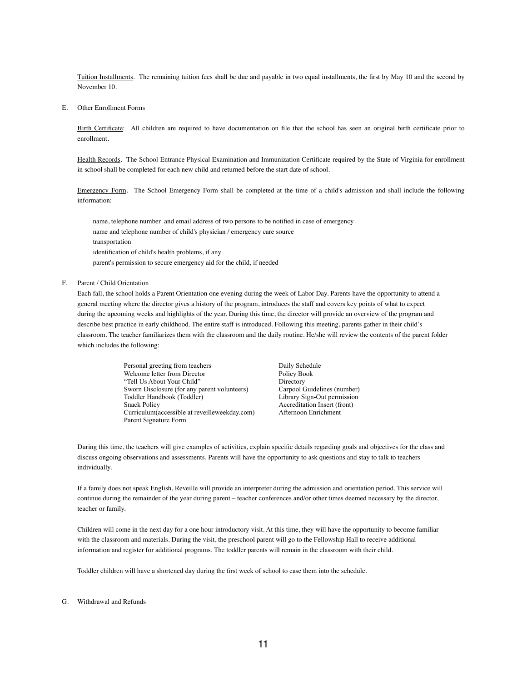Tuition Installments. The remaining tuition fees shall be due and payable in two equal installments, the first by May 10 and the second by November 10.

E. Other Enrollment Forms

Birth Certificate: All children are required to have documentation on file that the school has seen an original birth certificate prior to enrollment.

Health Records. The School Entrance Physical Examination and Immunization Certificate required by the State of Virginia for enrollment in school shall be completed for each new child and returned before the start date of school.

Emergency Form. The School Emergency Form shall be completed at the time of a child's admission and shall include the following information:

name, telephone number and email address of two persons to be notified in case of emergency name and telephone number of child's physician / emergency care source transportation identification of child's health problems, if any parent's permission to secure emergency aid for the child, if needed

F. Parent / Child Orientation

Each fall, the school holds a Parent Orientation one evening during the week of Labor Day. Parents have the opportunity to attend a general meeting where the director gives a history of the program, introduces the staff and covers key points of what to expect during the upcoming weeks and highlights of the year. During this time, the director will provide an overview of the program and describe best practice in early childhood. The entire staff is introduced. Following this meeting, parents gather in their child's classroom. The teacher familiarizes them with the classroom and the daily routine. He/she will review the contents of the parent folder which includes the following:

> Personal greeting from teachers Daily Schedule Welcome letter from Director<br>
> "Tell Us About Your Child" Directory<br>
> Directory "Tell Us About Your Child" Directory<br>
> Sworn Disclosure (for any parent volunteers) Carpool Guidelines (number) Sworn Disclosure (for any parent volunteers) Carpool Guidelines (number)<br>
> Toddler Handbook (Toddler) Library Sign-Out permission Toddler Handbook (Toddler)<br>Snack Policy Curriculum(accessible at reveilleweekday.com) Afternoon Enrichment Parent Signature Form

Accreditation Insert (front)

During this time, the teachers will give examples of activities, explain specific details regarding goals and objectives for the class and discuss ongoing observations and assessments. Parents will have the opportunity to ask questions and stay to talk to teachers individually.

If a family does not speak English, Reveille will provide an interpreter during the admission and orientation period. This service will continue during the remainder of the year during parent – teacher conferences and/or other times deemed necessary by the director, teacher or family.

Children will come in the next day for a one hour introductory visit. At this time, they will have the opportunity to become familiar with the classroom and materials. During the visit, the preschool parent will go to the Fellowship Hall to receive additional information and register for additional programs. The toddler parents will remain in the classroom with their child.

Toddler children will have a shortened day during the first week of school to ease them into the schedule.

#### G. Withdrawal and Refunds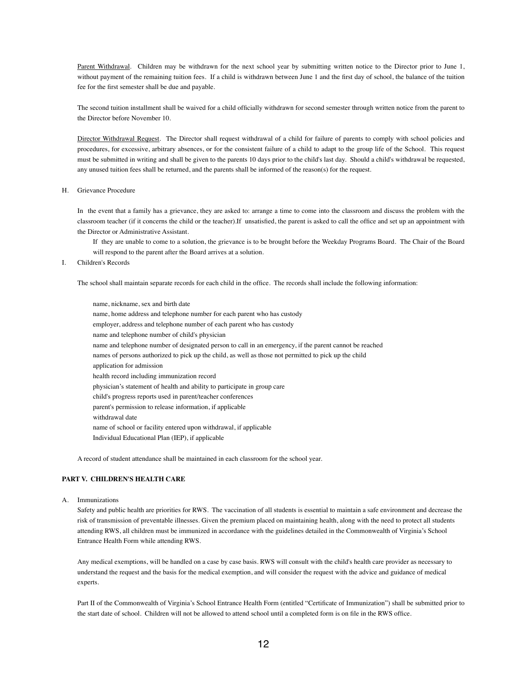Parent Withdrawal. Children may be withdrawn for the next school year by submitting written notice to the Director prior to June 1, without payment of the remaining tuition fees. If a child is withdrawn between June 1 and the first day of school, the balance of the tuition fee for the first semester shall be due and payable.

 The second tuition installment shall be waived for a child officially withdrawn for second semester through written notice from the parent to the Director before November 10.

Director Withdrawal Request. The Director shall request withdrawal of a child for failure of parents to comply with school policies and procedures, for excessive, arbitrary absences, or for the consistent failure of a child to adapt to the group life of the School. This request must be submitted in writing and shall be given to the parents 10 days prior to the child's last day. Should a child's withdrawal be requested, any unused tuition fees shall be returned, and the parents shall be informed of the reason(s) for the request.

H. Grievance Procedure

In the event that a family has a grievance, they are asked to: arrange a time to come into the classroom and discuss the problem with the classroom teacher (if it concerns the child or the teacher).If unsatisfied, the parent is asked to call the office and set up an appointment with the Director or Administrative Assistant.

If they are unable to come to a solution, the grievance is to be brought before the Weekday Programs Board. The Chair of the Board will respond to the parent after the Board arrives at a solution.

I. Children's Records

The school shall maintain separate records for each child in the office. The records shall include the following information:

name, nickname, sex and birth date name, home address and telephone number for each parent who has custody employer, address and telephone number of each parent who has custody name and telephone number of child's physician name and telephone number of designated person to call in an emergency, if the parent cannot be reached names of persons authorized to pick up the child, as well as those not permitted to pick up the child application for admission health record including immunization record physician's statement of health and ability to participate in group care child's progress reports used in parent/teacher conferences parent's permission to release information, if applicable withdrawal date name of school or facility entered upon withdrawal, if applicable Individual Educational Plan (IEP), if applicable

A record of student attendance shall be maintained in each classroom for the school year.

# **PART V. CHILDREN'S HEALTH CARE**

A. Immunizations

Safety and public health are priorities for RWS. The vaccination of all students is essential to maintain a safe environment and decrease the risk of transmission of preventable illnesses. Given the premium placed on maintaining health, along with the need to protect all students attending RWS, all children must be immunized in accordance with the guidelines detailed in the Commonwealth of Virginia's School Entrance Health Form while attending RWS.

Any medical exemptions, will be handled on a case by case basis. RWS will consult with the child's health care provider as necessary to understand the request and the basis for the medical exemption, and will consider the request with the advice and guidance of medical experts.

Part II of the Commonwealth of Virginia's School Entrance Health Form (entitled "Certificate of Immunization") shall be submitted prior to the start date of school. Children will not be allowed to attend school until a completed form is on file in the RWS office.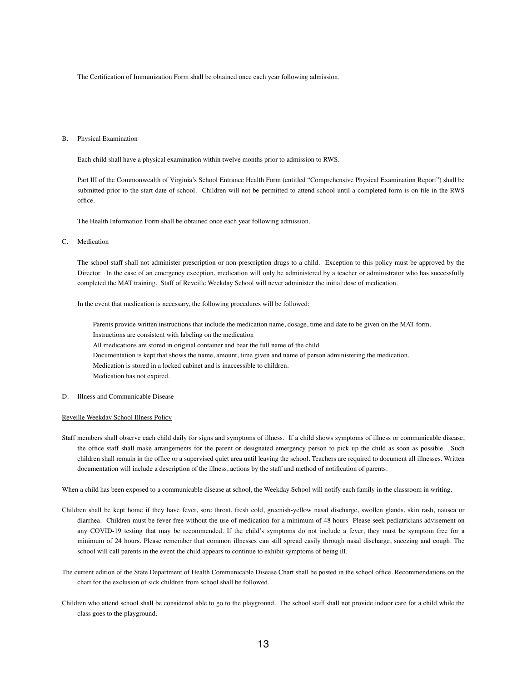The Certification of Immunization Form shall be obtained once each year following admission.

#### B. Physical Examination

Each child shall have a physical examination within twelve months prior to admission to RWS.

Part III of the Commonwealth of Virginia's School Entrance Health Form (entitled "Comprehensive Physical Examination Report") shall be submitted prior to the start date of school. Children will not be permitted to attend school until a completed form is on file in the RWS office.

The Health Information Form shall be obtained once each year following admission.

# C. Medication

The school staff shall not administer prescription or non-prescription drugs to a child. Exception to this policy must be approved by the Director. In the case of an emergency exception, medication will only be administered by a teacher or administrator who has successfully completed the MAT training. Staff of Reveille Weekday School will never administer the initial dose of medication.

In the event that medication is necessary, the following procedures will be followed:

Parents provide written instructions that include the medication name, dosage, time and date to be given on the MAT form. Instructions are consistent with labeling on the medication All medications are stored in original container and bear the full name of the child Documentation is kept that shows the name, amount, time given and name of person administering the medication. Medication is stored in a locked cabinet and is inaccessible to children. Medication has not expired.

D. Illness and Communicable Disease

# Reveille Weekday School Illness Policy

Staff members shall observe each child daily for signs and symptoms of illness. If a child shows symptoms of illness or communicable disease, the office staff shall make arrangements for the parent or designated emergency person to pick up the child as soon as possible. Such children shall remain in the office or a supervised quiet area until leaving the school. Teachers are required to document all illnesses. Written documentation will include a description of the illness, actions by the staff and method of notification of parents.

When a child has been exposed to a communicable disease at school, the Weekday School will notify each family in the classroom in writing.

- Children shall be kept home if they have fever, sore throat, fresh cold, greenish-yellow nasal discharge, swollen glands, skin rash, nausea or diarrhea. Children must be fever free without the use of medication for a minimum of 48 hours Please seek pediatricians advisement on any COVID-19 testing that may be recommended. If the child's symptoms do not include a fever, they must be symptom free for a minimum of 24 hours. Please remember that common illnesses can still spread easily through nasal discharge, sneezing and cough. The school will call parents in the event the child appears to continue to exhibit symptoms of being ill.
- The current edition of the State Department of Health Communicable Disease Chart shall be posted in the school office. Recommendations on the chart for the exclusion of sick children from school shall be followed.
- Children who attend school shall be considered able to go to the playground. The school staff shall not provide indoor care for a child while the class goes to the playground.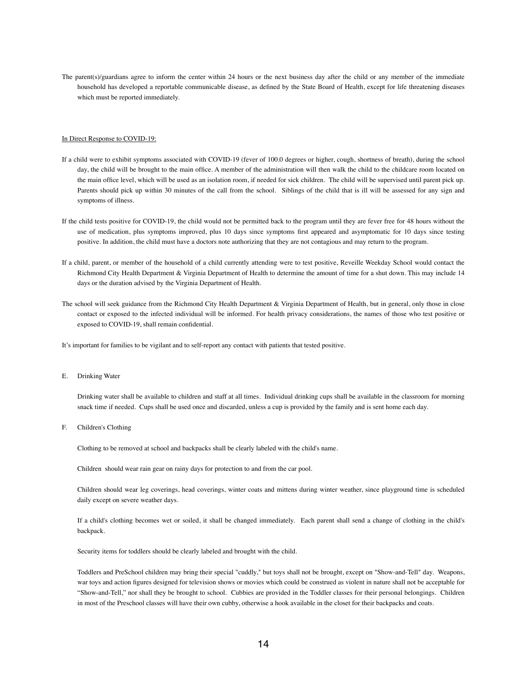The parent(s)/guardians agree to inform the center within 24 hours or the next business day after the child or any member of the immediate household has developed a reportable communicable disease, as defined by the State Board of Health, except for life threatening diseases which must be reported immediately.

# In Direct Response to COVID-19:

- If a child were to exhibit symptoms associated with COVID-19 (fever of 100.0 degrees or higher, cough, shortness of breath), during the school day, the child will be brought to the main office. A member of the administration will then walk the child to the childcare room located on the main office level, which will be used as an isolation room, if needed for sick children. The child will be supervised until parent pick up. Parents should pick up within 30 minutes of the call from the school. Siblings of the child that is ill will be assessed for any sign and symptoms of illness.
- If the child tests positive for COVID-19, the child would not be permitted back to the program until they are fever free for 48 hours without the use of medication, plus symptoms improved, plus 10 days since symptoms first appeared and asymptomatic for 10 days since testing positive. In addition, the child must have a doctors note authorizing that they are not contagious and may return to the program.
- If a child, parent, or member of the household of a child currently attending were to test positive, Reveille Weekday School would contact the Richmond City Health Department & Virginia Department of Health to determine the amount of time for a shut down. This may include 14 days or the duration advised by the Virginia Department of Health.
- The school will seek guidance from the Richmond City Health Department & Virginia Department of Health, but in general, only those in close contact or exposed to the infected individual will be informed. For health privacy considerations, the names of those who test positive or exposed to COVID-19, shall remain confidential.

It's important for families to be vigilant and to self-report any contact with patients that tested positive.

E. Drinking Water

Drinking water shall be available to children and staff at all times. Individual drinking cups shall be available in the classroom for morning snack time if needed. Cups shall be used once and discarded, unless a cup is provided by the family and is sent home each day.

F. Children's Clothing

Clothing to be removed at school and backpacks shall be clearly labeled with the child's name.

Children should wear rain gear on rainy days for protection to and from the car pool.

Children should wear leg coverings, head coverings, winter coats and mittens during winter weather, since playground time is scheduled daily except on severe weather days.

If a child's clothing becomes wet or soiled, it shall be changed immediately. Each parent shall send a change of clothing in the child's backpack.

Security items for toddlers should be clearly labeled and brought with the child.

Toddlers and PreSchool children may bring their special "cuddly," but toys shall not be brought, except on "Show-and-Tell" day. Weapons, war toys and action figures designed for television shows or movies which could be construed as violent in nature shall not be acceptable for "Show-and-Tell," nor shall they be brought to school. Cubbies are provided in the Toddler classes for their personal belongings. Children in most of the Preschool classes will have their own cubby, otherwise a hook available in the closet for their backpacks and coats.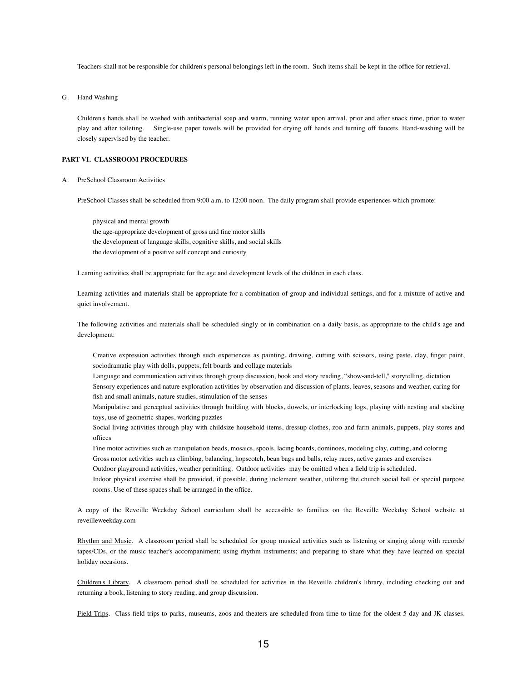Teachers shall not be responsible for children's personal belongings left in the room. Such items shall be kept in the office for retrieval.

G. Hand Washing

Children's hands shall be washed with antibacterial soap and warm, running water upon arrival, prior and after snack time, prior to water play and after toileting. Single-use paper towels will be provided for drying off hands and turning off faucets. Hand-washing will be closely supervised by the teacher.

## **PART VI. CLASSROOM PROCEDURES**

A. PreSchool Classroom Activities

PreSchool Classes shall be scheduled from 9:00 a.m. to 12:00 noon. The daily program shall provide experiences which promote:

physical and mental growth the age-appropriate development of gross and fine motor skills the development of language skills, cognitive skills, and social skills the development of a positive self concept and curiosity

Learning activities shall be appropriate for the age and development levels of the children in each class.

Learning activities and materials shall be appropriate for a combination of group and individual settings, and for a mixture of active and quiet involvement.

The following activities and materials shall be scheduled singly or in combination on a daily basis, as appropriate to the child's age and development:

Creative expression activities through such experiences as painting, drawing, cutting with scissors, using paste, clay, finger paint, sociodramatic play with dolls, puppets, felt boards and collage materials

Language and communication activities through group discussion, book and story reading, "show-and-tell," storytelling, dictation Sensory experiences and nature exploration activities by observation and discussion of plants, leaves, seasons and weather, caring for fish and small animals, nature studies, stimulation of the senses

Manipulative and perceptual activities through building with blocks, dowels, or interlocking logs, playing with nesting and stacking toys, use of geometric shapes, working puzzles

Social living activities through play with childsize household items, dressup clothes, zoo and farm animals, puppets, play stores and offices

Fine motor activities such as manipulation beads, mosaics, spools, lacing boards, dominoes, modeling clay, cutting, and coloring Gross motor activities such as climbing, balancing, hopscotch, bean bags and balls, relay races, active games and exercises

Outdoor playground activities, weather permitting. Outdoor activities may be omitted when a field trip is scheduled.

Indoor physical exercise shall be provided, if possible, during inclement weather, utilizing the church social hall or special purpose rooms. Use of these spaces shall be arranged in the office.

A copy of the Reveille Weekday School curriculum shall be accessible to families on the Reveille Weekday School website at reveilleweekday.com

Rhythm and Music. A classroom period shall be scheduled for group musical activities such as listening or singing along with records/ tapes/CDs, or the music teacher's accompaniment; using rhythm instruments; and preparing to share what they have learned on special holiday occasions.

Children's Library. A classroom period shall be scheduled for activities in the Reveille children's library, including checking out and returning a book, listening to story reading, and group discussion.

Field Trips. Class field trips to parks, museums, zoos and theaters are scheduled from time to time for the oldest 5 day and JK classes.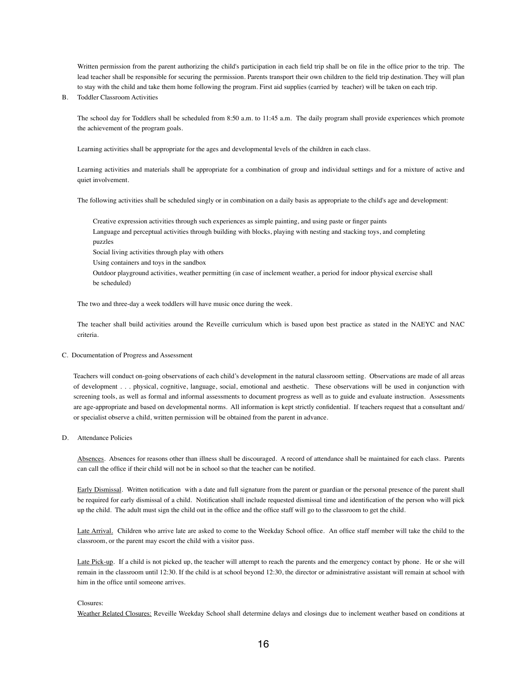Written permission from the parent authorizing the child's participation in each field trip shall be on file in the office prior to the trip. The lead teacher shall be responsible for securing the permission. Parents transport their own children to the field trip destination. They will plan to stay with the child and take them home following the program. First aid supplies (carried by teacher) will be taken on each trip.

#### B. Toddler Classroom Activities

The school day for Toddlers shall be scheduled from 8:50 a.m. to 11:45 a.m. The daily program shall provide experiences which promote the achievement of the program goals.

Learning activities shall be appropriate for the ages and developmental levels of the children in each class.

Learning activities and materials shall be appropriate for a combination of group and individual settings and for a mixture of active and quiet involvement.

The following activities shall be scheduled singly or in combination on a daily basis as appropriate to the child's age and development:

Creative expression activities through such experiences as simple painting, and using paste or finger paints Language and perceptual activities through building with blocks, playing with nesting and stacking toys, and completing puzzles

Social living activities through play with others

Using containers and toys in the sandbox

Outdoor playground activities, weather permitting (in case of inclement weather, a period for indoor physical exercise shall be scheduled)

The two and three-day a week toddlers will have music once during the week.

The teacher shall build activities around the Reveille curriculum which is based upon best practice as stated in the NAEYC and NAC criteria.

# C. Documentation of Progress and Assessment

Teachers will conduct on-going observations of each child's development in the natural classroom setting. Observations are made of all areas of development . . . physical, cognitive, language, social, emotional and aesthetic. These observations will be used in conjunction with screening tools, as well as formal and informal assessments to document progress as well as to guide and evaluate instruction. Assessments are age-appropriate and based on developmental norms. All information is kept strictly confidential. If teachers request that a consultant and/ or specialist observe a child, written permission will be obtained from the parent in advance.

# D. Attendance Policies

Absences. Absences for reasons other than illness shall be discouraged. A record of attendance shall be maintained for each class. Parents can call the office if their child will not be in school so that the teacher can be notified.

Early Dismissal. Written notification with a date and full signature from the parent or guardian or the personal presence of the parent shall be required for early dismissal of a child. Notification shall include requested dismissal time and identification of the person who will pick up the child. The adult must sign the child out in the office and the office staff will go to the classroom to get the child.

Late Arrival. Children who arrive late are asked to come to the Weekday School office. An office staff member will take the child to the classroom, or the parent may escort the child with a visitor pass.

Late Pick-up. If a child is not picked up, the teacher will attempt to reach the parents and the emergency contact by phone. He or she will remain in the classroom until 12:30. If the child is at school beyond 12:30, the director or administrative assistant will remain at school with him in the office until someone arrives.

#### Closures:

Weather Related Closures: Reveille Weekday School shall determine delays and closings due to inclement weather based on conditions at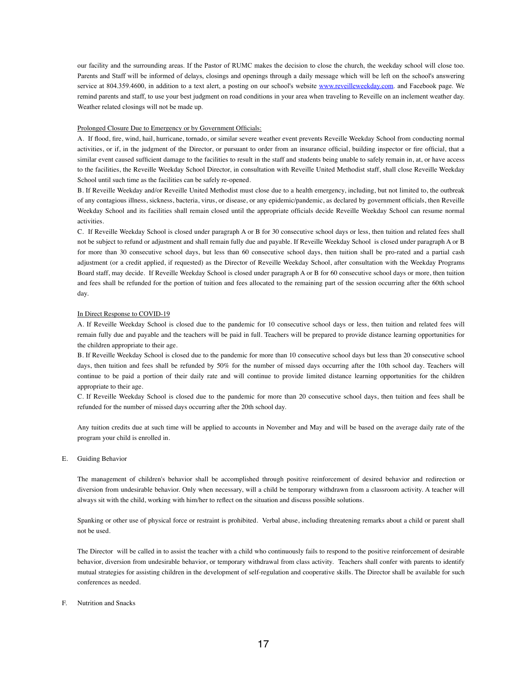our facility and the surrounding areas. If the Pastor of RUMC makes the decision to close the church, the weekday school will close too. Parents and Staff will be informed of delays, closings and openings through a daily message which will be left on the school's answering service at 804.359.4600, in addition to a text alert, a posting on our school's website [www.reveilleweekday.com](http://www.reveilleweekday.com/). and Facebook page. We remind parents and staff, to use your best judgment on road conditions in your area when traveling to Reveille on an inclement weather day. Weather related closings will not be made up.

# Prolonged Closure Due to Emergency or by Government Officials:

A. If flood, fire, wind, hail, hurricane, tornado, or similar severe weather event prevents Reveille Weekday School from conducting normal activities, or if, in the judgment of the Director, or pursuant to order from an insurance official, building inspector or fire official, that a similar event caused sufficient damage to the facilities to result in the staff and students being unable to safely remain in, at, or have access to the facilities, the Reveille Weekday School Director, in consultation with Reveille United Methodist staff, shall close Reveille Weekday School until such time as the facilities can be safely re-opened.

B. If Reveille Weekday and/or Reveille United Methodist must close due to a health emergency, including, but not limited to, the outbreak of any contagious illness, sickness, bacteria, virus, or disease, or any epidemic/pandemic, as declared by government officials, then Reveille Weekday School and its facilities shall remain closed until the appropriate officials decide Reveille Weekday School can resume normal activities.

C. If Reveille Weekday School is closed under paragraph A or B for 30 consecutive school days or less, then tuition and related fees shall not be subject to refund or adjustment and shall remain fully due and payable. If Reveille Weekday School is closed under paragraph A or B for more than 30 consecutive school days, but less than 60 consecutive school days, then tuition shall be pro-rated and a partial cash adjustment (or a credit applied, if requested) as the Director of Reveille Weekday School, after consultation with the Weekday Programs Board staff, may decide. If Reveille Weekday School is closed under paragraph A or B for 60 consecutive school days or more, then tuition and fees shall be refunded for the portion of tuition and fees allocated to the remaining part of the session occurring after the 60th school day.

# In Direct Response to COVID-19

A. If Reveille Weekday School is closed due to the pandemic for 10 consecutive school days or less, then tuition and related fees will remain fully due and payable and the teachers will be paid in full. Teachers will be prepared to provide distance learning opportunities for the children appropriate to their age.

B. If Reveille Weekday School is closed due to the pandemic for more than 10 consecutive school days but less than 20 consecutive school days, then tuition and fees shall be refunded by 50% for the number of missed days occurring after the 10th school day. Teachers will continue to be paid a portion of their daily rate and will continue to provide limited distance learning opportunities for the children appropriate to their age.

C. If Reveille Weekday School is closed due to the pandemic for more than 20 consecutive school days, then tuition and fees shall be refunded for the number of missed days occurring after the 20th school day.

Any tuition credits due at such time will be applied to accounts in November and May and will be based on the average daily rate of the program your child is enrolled in.

E. Guiding Behavior

The management of children's behavior shall be accomplished through positive reinforcement of desired behavior and redirection or diversion from undesirable behavior. Only when necessary, will a child be temporary withdrawn from a classroom activity. A teacher will always sit with the child, working with him/her to reflect on the situation and discuss possible solutions.

Spanking or other use of physical force or restraint is prohibited. Verbal abuse, including threatening remarks about a child or parent shall not be used.

The Director will be called in to assist the teacher with a child who continuously fails to respond to the positive reinforcement of desirable behavior, diversion from undesirable behavior, or temporary withdrawal from class activity. Teachers shall confer with parents to identify mutual strategies for assisting children in the development of self-regulation and cooperative skills. The Director shall be available for such conferences as needed.

# F. Nutrition and Snacks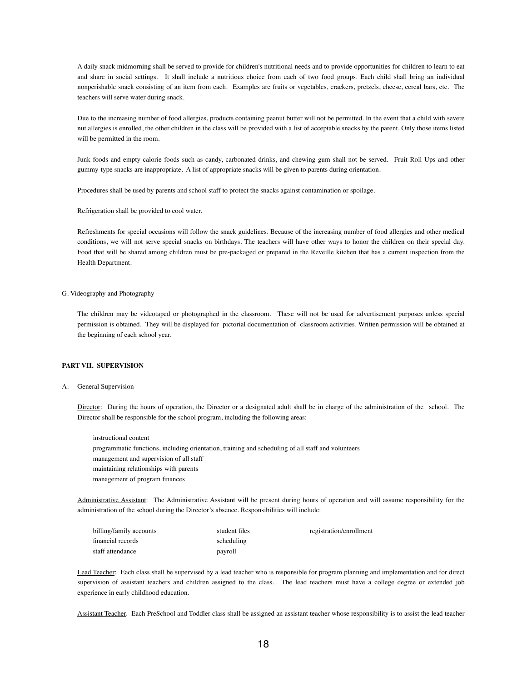A daily snack midmorning shall be served to provide for children's nutritional needs and to provide opportunities for children to learn to eat and share in social settings. It shall include a nutritious choice from each of two food groups. Each child shall bring an individual nonperishable snack consisting of an item from each. Examples are fruits or vegetables, crackers, pretzels, cheese, cereal bars, etc. The teachers will serve water during snack.

Due to the increasing number of food allergies, products containing peanut butter will not be permitted. In the event that a child with severe nut allergies is enrolled, the other children in the class will be provided with a list of acceptable snacks by the parent. Only those items listed will be permitted in the room.

Junk foods and empty calorie foods such as candy, carbonated drinks, and chewing gum shall not be served. Fruit Roll Ups and other gummy-type snacks are inappropriate. A list of appropriate snacks will be given to parents during orientation.

Procedures shall be used by parents and school staff to protect the snacks against contamination or spoilage.

Refrigeration shall be provided to cool water.

Refreshments for special occasions will follow the snack guidelines. Because of the increasing number of food allergies and other medical conditions, we will not serve special snacks on birthdays. The teachers will have other ways to honor the children on their special day. Food that will be shared among children must be pre-packaged or prepared in the Reveille kitchen that has a current inspection from the Health Department.

# G. Videography and Photography

The children may be videotaped or photographed in the classroom. These will not be used for advertisement purposes unless special permission is obtained. They will be displayed for pictorial documentation of classroom activities. Written permission will be obtained at the beginning of each school year.

# **PART VII. SUPERVISION**

# A. General Supervision

Director: During the hours of operation, the Director or a designated adult shall be in charge of the administration of the school. The Director shall be responsible for the school program, including the following areas:

instructional content programmatic functions, including orientation, training and scheduling of all staff and volunteers management and supervision of all staff maintaining relationships with parents management of program finances

Administrative Assistant: The Administrative Assistant will be present during hours of operation and will assume responsibility for the administration of the school during the Director's absence. Responsibilities will include:

| billing/family accounts | student files | registration/enrollment |
|-------------------------|---------------|-------------------------|
| financial records       | scheduling    |                         |
| staff attendance        | payroll       |                         |

Lead Teacher: Each class shall be supervised by a lead teacher who is responsible for program planning and implementation and for direct supervision of assistant teachers and children assigned to the class. The lead teachers must have a college degree or extended job experience in early childhood education.

Assistant Teacher. Each PreSchool and Toddler class shall be assigned an assistant teacher whose responsibility is to assist the lead teacher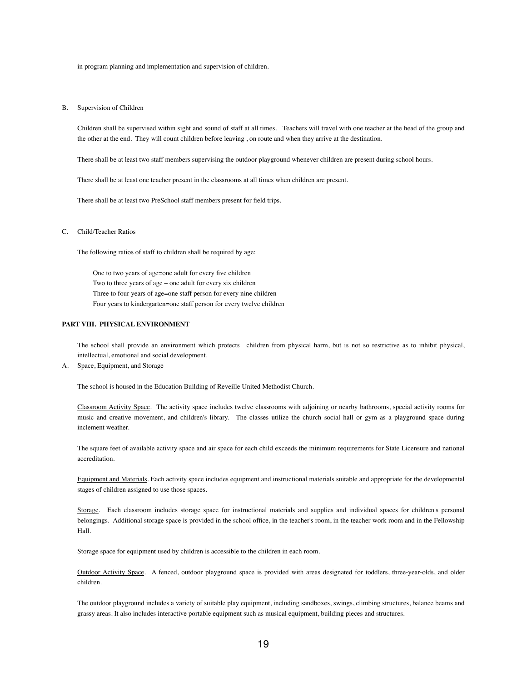in program planning and implementation and supervision of children.

# B. Supervision of Children

Children shall be supervised within sight and sound of staff at all times. Teachers will travel with one teacher at the head of the group and the other at the end. They will count children before leaving , on route and when they arrive at the destination.

There shall be at least two staff members supervising the outdoor playground whenever children are present during school hours.

There shall be at least one teacher present in the classrooms at all times when children are present.

There shall be at least two PreSchool staff members present for field trips.

C. Child/Teacher Ratios

The following ratios of staff to children shall be required by age:

One to two years of age=one adult for every five children Two to three years of age – one adult for every six children Three to four years of age=one staff person for every nine children Four years to kindergarten=one staff person for every twelve children

# **PART VIII. PHYSICAL ENVIRONMENT**

The school shall provide an environment which protects children from physical harm, but is not so restrictive as to inhibit physical, intellectual, emotional and social development.

A. Space, Equipment, and Storage

The school is housed in the Education Building of Reveille United Methodist Church.

Classroom Activity Space. The activity space includes twelve classrooms with adjoining or nearby bathrooms, special activity rooms for music and creative movement, and children's library. The classes utilize the church social hall or gym as a playground space during inclement weather.

The square feet of available activity space and air space for each child exceeds the minimum requirements for State Licensure and national accreditation.

Equipment and Materials. Each activity space includes equipment and instructional materials suitable and appropriate for the developmental stages of children assigned to use those spaces.

Storage. Each classroom includes storage space for instructional materials and supplies and individual spaces for children's personal belongings. Additional storage space is provided in the school office, in the teacher's room, in the teacher work room and in the Fellowship Hall.

Storage space for equipment used by children is accessible to the children in each room.

Outdoor Activity Space. A fenced, outdoor playground space is provided with areas designated for toddlers, three-year-olds, and older children.

The outdoor playground includes a variety of suitable play equipment, including sandboxes, swings, climbing structures, balance beams and grassy areas. It also includes interactive portable equipment such as musical equipment, building pieces and structures.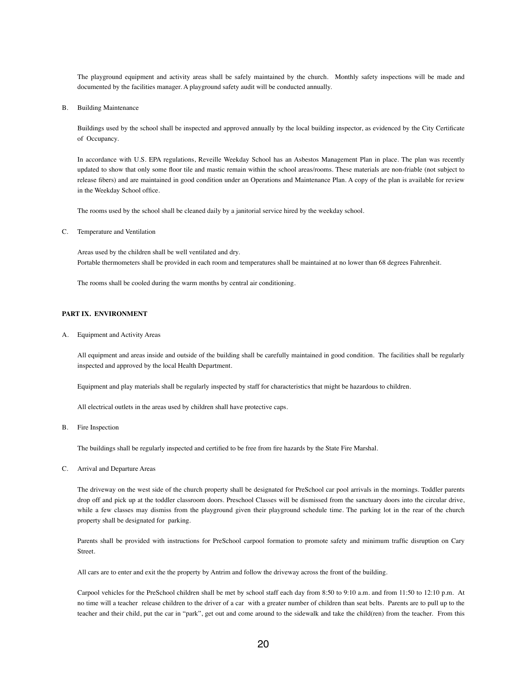The playground equipment and activity areas shall be safely maintained by the church. Monthly safety inspections will be made and documented by the facilities manager. A playground safety audit will be conducted annually.

B. Building Maintenance

Buildings used by the school shall be inspected and approved annually by the local building inspector, as evidenced by the City Certificate of Occupancy.

In accordance with U.S. EPA regulations, Reveille Weekday School has an Asbestos Management Plan in place. The plan was recently updated to show that only some floor tile and mastic remain within the school areas/rooms. These materials are non-friable (not subject to release fibers) and are maintained in good condition under an Operations and Maintenance Plan. A copy of the plan is available for review in the Weekday School office.

The rooms used by the school shall be cleaned daily by a janitorial service hired by the weekday school.

C. Temperature and Ventilation

Areas used by the children shall be well ventilated and dry. Portable thermometers shall be provided in each room and temperatures shall be maintained at no lower than 68 degrees Fahrenheit.

The rooms shall be cooled during the warm months by central air conditioning.

# **PART IX. ENVIRONMENT**

A. Equipment and Activity Areas

All equipment and areas inside and outside of the building shall be carefully maintained in good condition. The facilities shall be regularly inspected and approved by the local Health Department.

Equipment and play materials shall be regularly inspected by staff for characteristics that might be hazardous to children.

All electrical outlets in the areas used by children shall have protective caps.

B. Fire Inspection

The buildings shall be regularly inspected and certified to be free from fire hazards by the State Fire Marshal.

C. Arrival and Departure Areas

The driveway on the west side of the church property shall be designated for PreSchool car pool arrivals in the mornings. Toddler parents drop off and pick up at the toddler classroom doors. Preschool Classes will be dismissed from the sanctuary doors into the circular drive, while a few classes may dismiss from the playground given their playground schedule time. The parking lot in the rear of the church property shall be designated for parking.

Parents shall be provided with instructions for PreSchool carpool formation to promote safety and minimum traffic disruption on Cary Street.

All cars are to enter and exit the the property by Antrim and follow the driveway across the front of the building.

Carpool vehicles for the PreSchool children shall be met by school staff each day from 8:50 to 9:10 a.m. and from 11:50 to 12:10 p.m. At no time will a teacher release children to the driver of a car with a greater number of children than seat belts. Parents are to pull up to the teacher and their child, put the car in "park", get out and come around to the sidewalk and take the child(ren) from the teacher. From this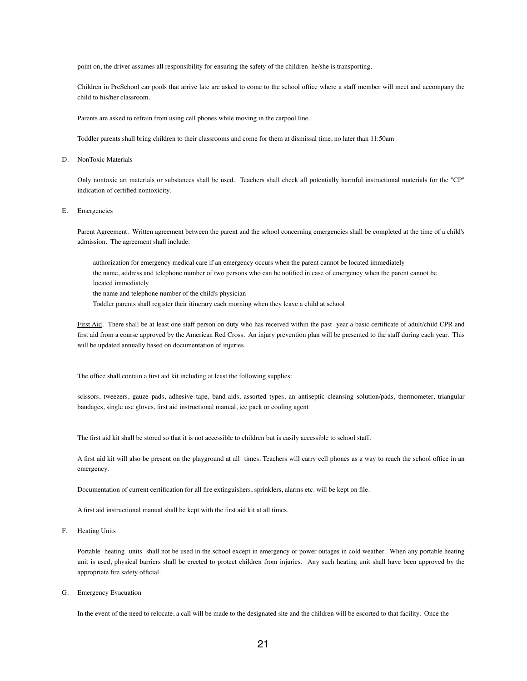point on, the driver assumes all responsibility for ensuring the safety of the children he/she is transporting.

Children in PreSchool car pools that arrive late are asked to come to the school office where a staff member will meet and accompany the child to his/her classroom.

Parents are asked to refrain from using cell phones while moving in the carpool line.

Toddler parents shall bring children to their classrooms and come for them at dismissal time, no later than 11:50am

D. NonToxic Materials

Only nontoxic art materials or substances shall be used. Teachers shall check all potentially harmful instructional materials for the "CP" indication of certified nontoxicity.

# E. Emergencies

Parent Agreement. Written agreement between the parent and the school concerning emergencies shall be completed at the time of a child's admission. The agreement shall include:

authorization for emergency medical care if an emergency occurs when the parent cannot be located immediately the name, address and telephone number of two persons who can be notified in case of emergency when the parent cannot be located immediately the name and telephone number of the child's physician

Toddler parents shall register their itinerary each morning when they leave a child at school

First Aid. There shall be at least one staff person on duty who has received within the past year a basic certificate of adult/child CPR and first aid from a course approved by the American Red Cross. An injury prevention plan will be presented to the staff during each year. This will be updated annually based on documentation of injuries.

The office shall contain a first aid kit including at least the following supplies:

scissors, tweezers, gauze pads, adhesive tape, band-aids, assorted types, an antiseptic cleansing solution/pads, thermometer, triangular bandages, single use gloves, first aid instructional manual, ice pack or cooling agent

The first aid kit shall be stored so that it is not accessible to children but is easily accessible to school staff.

A first aid kit will also be present on the playground at all times. Teachers will carry cell phones as a way to reach the school office in an emergency.

Documentation of current certification for all fire extinguishers, sprinklers, alarms etc. will be kept on file.

A first aid instructional manual shall be kept with the first aid kit at all times.

F. Heating Units

Portable heating units shall not be used in the school except in emergency or power outages in cold weather. When any portable heating unit is used, physical barriers shall be erected to protect children from injuries. Any such heating unit shall have been approved by the appropriate fire safety official.

G. Emergency Evacuation

In the event of the need to relocate, a call will be made to the designated site and the children will be escorted to that facility. Once the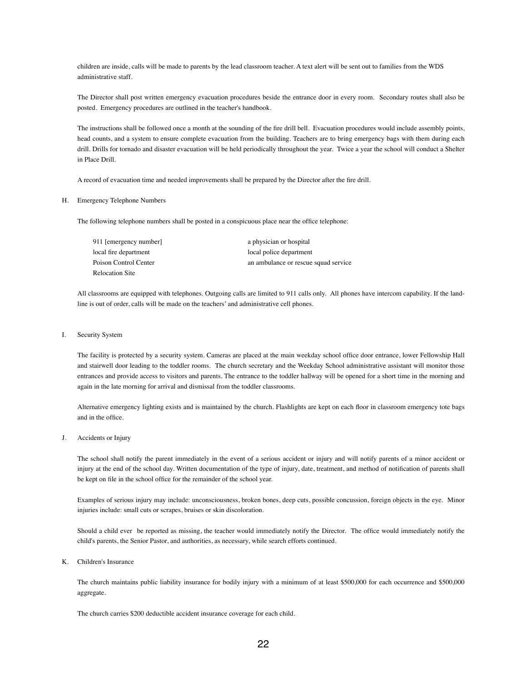children are inside, calls will be made to parents by the lead classroom teacher. A text alert will be sent out to families from the WDS administrative staff.

The Director shall post written emergency evacuation procedures beside the entrance door in every room. Secondary routes shall also be posted. Emergency procedures are outlined in the teacher's handbook.

The instructions shall be followed once a month at the sounding of the fire drill bell. Evacuation procedures would include assembly points, head counts, and a system to ensure complete evacuation from the building. Teachers are to bring emergency bags with them during each drill. Drills for tornado and disaster evacuation will be held periodically throughout the year. Twice a year the school will conduct a Shelter in Place Drill.

A record of evacuation time and needed improvements shall be prepared by the Director after the fire drill.

#### H. Emergency Telephone Numbers

The following telephone numbers shall be posted in a conspicuous place near the office telephone:

| 911 [emergency number] | a physician or hospital              |
|------------------------|--------------------------------------|
| local fire department  | local police department              |
| Poison Control Center  | an ambulance or rescue squad service |
| Relocation Site        |                                      |

All classrooms are equipped with telephones. Outgoing calls are limited to 911 calls only. All phones have intercom capability. If the landline is out of order, calls will be made on the teachers' and administrative cell phones.

# I. Security System

The facility is protected by a security system. Cameras are placed at the main weekday school office door entrance, lower Fellowship Hall and stairwell door leading to the toddler rooms. The church secretary and the Weekday School administrative assistant will monitor those entrances and provide access to visitors and parents. The entrance to the toddler hallway will be opened for a short time in the morning and again in the late morning for arrival and dismissal from the toddler classrooms.

Alternative emergency lighting exists and is maintained by the church. Flashlights are kept on each floor in classroom emergency tote bags and in the office.

# J. Accidents or Injury

The school shall notify the parent immediately in the event of a serious accident or injury and will notify parents of a minor accident or injury at the end of the school day. Written documentation of the type of injury, date, treatment, and method of notification of parents shall be kept on file in the school office for the remainder of the school year.

Examples of serious injury may include: unconsciousness, broken bones, deep cuts, possible concussion, foreign objects in the eye. Minor injuries include: small cuts or scrapes, bruises or skin discoloration.

Should a child ever be reported as missing, the teacher would immediately notify the Director. The office would immediately notify the child's parents, the Senior Pastor, and authorities, as necessary, while search efforts continued.

# K. Children's Insurance

The church maintains public liability insurance for bodily injury with a minimum of at least \$500,000 for each occurrence and \$500,000 aggregate.

The church carries \$200 deductible accident insurance coverage for each child.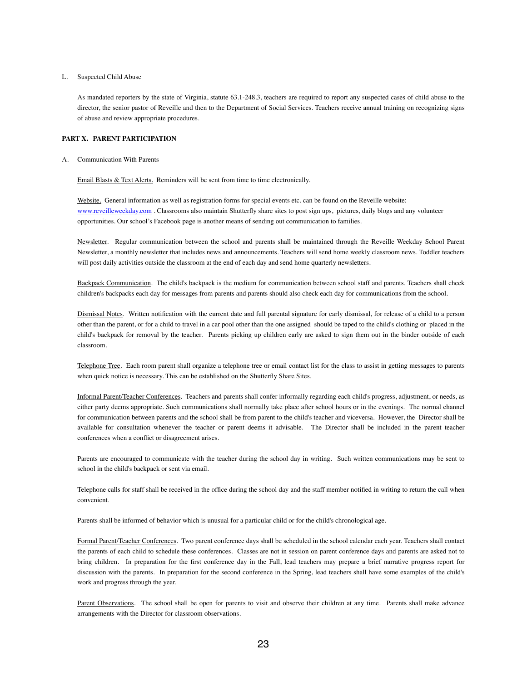#### L. Suspected Child Abuse

As mandated reporters by the state of Virginia, statute 63.1-248.3, teachers are required to report any suspected cases of child abuse to the director, the senior pastor of Reveille and then to the Department of Social Services. Teachers receive annual training on recognizing signs of abuse and review appropriate procedures.

# **PART X. PARENT PARTICIPATION**

A. Communication With Parents

Email Blasts & Text Alerts. Reminders will be sent from time to time electronically.

Website. General information as well as registration forms for special events etc. can be found on the Reveille website: [www.reveilleweekday.com](http://www.reveilleweekday.com/) . Classrooms also maintain Shutterfly share sites to post sign ups, pictures, daily blogs and any volunteer opportunities. Our school's Facebook page is another means of sending out communication to families.

Newsletter. Regular communication between the school and parents shall be maintained through the Reveille Weekday School Parent Newsletter, a monthly newsletter that includes news and announcements. Teachers will send home weekly classroom news. Toddler teachers will post daily activities outside the classroom at the end of each day and send home quarterly newsletters.

Backpack Communication. The child's backpack is the medium for communication between school staff and parents. Teachers shall check children's backpacks each day for messages from parents and parents should also check each day for communications from the school.

Dismissal Notes. Written notification with the current date and full parental signature for early dismissal, for release of a child to a person other than the parent, or for a child to travel in a car pool other than the one assigned should be taped to the child's clothing or placed in the child's backpack for removal by the teacher. Parents picking up children early are asked to sign them out in the binder outside of each classroom.

Telephone Tree. Each room parent shall organize a telephone tree or email contact list for the class to assist in getting messages to parents when quick notice is necessary. This can be established on the Shutterfly Share Sites.

Informal Parent/Teacher Conferences. Teachers and parents shall confer informally regarding each child's progress, adjustment, or needs, as either party deems appropriate. Such communications shall normally take place after school hours or in the evenings. The normal channel for communication between parents and the school shall be from parent to the child's teacher and viceversa. However, the Director shall be available for consultation whenever the teacher or parent deems it advisable. The Director shall be included in the parent teacher conferences when a conflict or disagreement arises.

Parents are encouraged to communicate with the teacher during the school day in writing. Such written communications may be sent to school in the child's backpack or sent via email.

Telephone calls for staff shall be received in the office during the school day and the staff member notified in writing to return the call when convenient.

Parents shall be informed of behavior which is unusual for a particular child or for the child's chronological age.

Formal Parent/Teacher Conferences. Two parent conference days shall be scheduled in the school calendar each year. Teachers shall contact the parents of each child to schedule these conferences. Classes are not in session on parent conference days and parents are asked not to bring children. In preparation for the first conference day in the Fall, lead teachers may prepare a brief narrative progress report for discussion with the parents. In preparation for the second conference in the Spring, lead teachers shall have some examples of the child's work and progress through the year.

Parent Observations. The school shall be open for parents to visit and observe their children at any time. Parents shall make advance arrangements with the Director for classroom observations.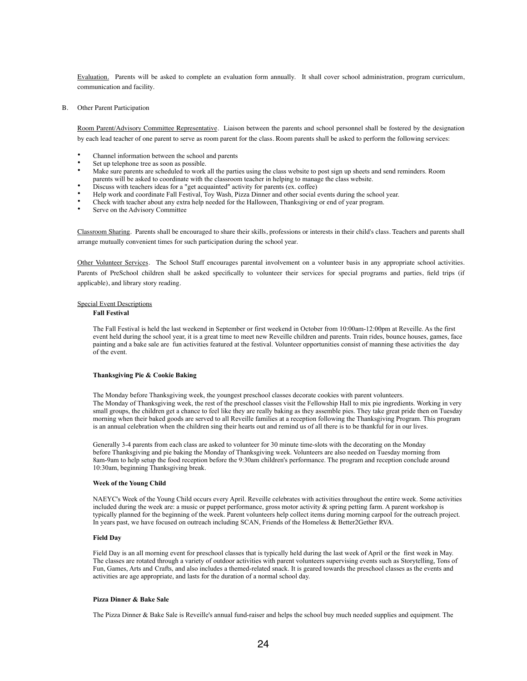Evaluation. Parents will be asked to complete an evaluation form annually. It shall cover school administration, program curriculum, communication and facility.

B. Other Parent Participation

Room Parent/Advisory Committee Representative. Liaison between the parents and school personnel shall be fostered by the designation by each lead teacher of one parent to serve as room parent for the class. Room parents shall be asked to perform the following services:

- Channel information between the school and parents
- Set up telephone tree as soon as possible.
- Make sure parents are scheduled to work all the parties using the class website to post sign up sheets and send reminders. Room parents will be asked to coordinate with the classroom teacher in helping to manage the class website.
- Discuss with teachers ideas for a "get acquainted" activity for parents (ex. coffee)
- Help work and coordinate Fall Festival, Toy Wash, Pizza Dinner and other social events during the school year.
- Check with teacher about any extra help needed for the Halloween, Thanksgiving or end of year program.
- Serve on the Advisory Committee

Classroom Sharing. Parents shall be encouraged to share their skills, professions or interests in their child's class. Teachers and parents shall arrange mutually convenient times for such participation during the school year.

Other Volunteer Services. The School Staff encourages parental involvement on a volunteer basis in any appropriate school activities. Parents of PreSchool children shall be asked specifically to volunteer their services for special programs and parties, field trips (if applicable), and library story reading.

# Special Event Descriptions

#### **Fall Festival**

The Fall Festival is held the last weekend in September or first weekend in October from 10:00am-12:00pm at Reveille. As the first event held during the school year, it is a great time to meet new Reveille children and parents. Train rides, bounce houses, games, face painting and a bake sale are fun activities featured at the festival. Volunteer opportunities consist of manning these activities the day of the event.

# **Thanksgiving Pie & Cookie Baking**

The Monday before Thanksgiving week, the youngest preschool classes decorate cookies with parent volunteers. The Monday of Thanksgiving week, the rest of the preschool classes visit the Fellowship Hall to mix pie ingredients. Working in very small groups, the children get a chance to feel like they are really baking as they assemble pies. They take great pride then on Tuesday morning when their baked goods are served to all Reveille families at a reception following the Thanksgiving Program. This program is an annual celebration when the children sing their hearts out and remind us of all there is to be thankful for in our lives.

Generally 3-4 parents from each class are asked to volunteer for 30 minute time-slots with the decorating on the Monday before Thanksgiving and pie baking the Monday of Thanksgiving week. Volunteers are also needed on Tuesday morning from 8am-9am to help setup the food reception before the 9:30am children's performance. The program and reception conclude around 10:30am, beginning Thanksgiving break.

#### **Week of the Young Child**

NAEYC's Week of the Young Child occurs every April. Reveille celebrates with activities throughout the entire week. Some activities included during the week are: a music or puppet performance, gross motor activity & spring petting farm. A parent workshop is typically planned for the beginning of the week. Parent volunteers help collect items during morning carpool for the outreach project. In years past, we have focused on outreach including SCAN, Friends of the Homeless & Better2Gether RVA.

# **Field Day**

Field Day is an all morning event for preschool classes that is typically held during the last week of April or the first week in May. The classes are rotated through a variety of outdoor activities with parent volunteers supervising events such as Storytelling, Tons of Fun, Games, Arts and Crafts, and also includes a themed-related snack. It is geared towards the preschool classes as the events and activities are age appropriate, and lasts for the duration of a normal school day.

# **Pizza Dinner & Bake Sale**

The Pizza Dinner & Bake Sale is Reveille's annual fund-raiser and helps the school buy much needed supplies and equipment. The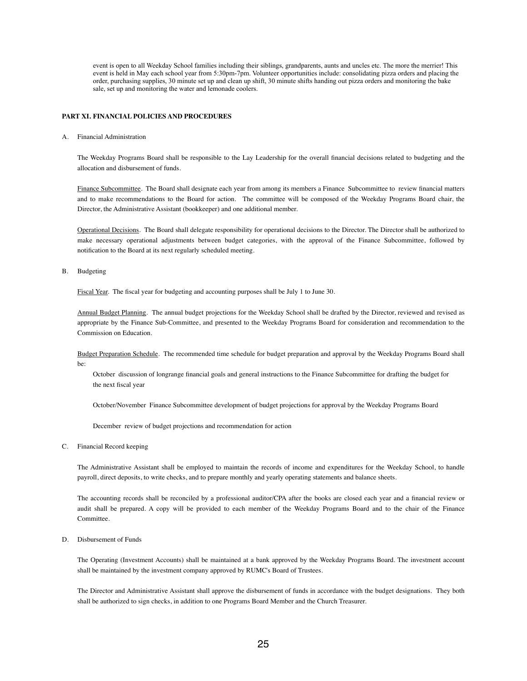event is open to all Weekday School families including their siblings, grandparents, aunts and uncles etc. The more the merrier! This event is held in May each school year from 5:30pm-7pm. Volunteer opportunities include: consolidating pizza orders and placing the order, purchasing supplies, 30 minute set up and clean up shift, 30 minute shifts handing out pizza orders and monitoring the bake sale, set up and monitoring the water and lemonade coolers.

# **PART XI. FINANCIAL POLICIES AND PROCEDURES**

A. Financial Administration

The Weekday Programs Board shall be responsible to the Lay Leadership for the overall financial decisions related to budgeting and the allocation and disbursement of funds.

Finance Subcommittee. The Board shall designate each year from among its members a Finance Subcommittee to review financial matters and to make recommendations to the Board for action. The committee will be composed of the Weekday Programs Board chair, the Director, the Administrative Assistant (bookkeeper) and one additional member.

Operational Decisions. The Board shall delegate responsibility for operational decisions to the Director. The Director shall be authorized to make necessary operational adjustments between budget categories, with the approval of the Finance Subcommittee, followed by notification to the Board at its next regularly scheduled meeting.

B. Budgeting

Fiscal Year. The fiscal year for budgeting and accounting purposes shall be July 1 to June 30.

Annual Budget Planning. The annual budget projections for the Weekday School shall be drafted by the Director, reviewed and revised as appropriate by the Finance Sub-Committee, and presented to the Weekday Programs Board for consideration and recommendation to the Commission on Education.

Budget Preparation Schedule. The recommended time schedule for budget preparation and approval by the Weekday Programs Board shall be:

October discussion of longrange financial goals and general instructions to the Finance Subcommittee for drafting the budget for the next fiscal year

October/November Finance Subcommittee development of budget projections for approval by the Weekday Programs Board

December review of budget projections and recommendation for action

C. Financial Record keeping

The Administrative Assistant shall be employed to maintain the records of income and expenditures for the Weekday School, to handle payroll, direct deposits, to write checks, and to prepare monthly and yearly operating statements and balance sheets.

The accounting records shall be reconciled by a professional auditor/CPA after the books are closed each year and a financial review or audit shall be prepared. A copy will be provided to each member of the Weekday Programs Board and to the chair of the Finance Committee.

D. Disbursement of Funds

The Operating (Investment Accounts) shall be maintained at a bank approved by the Weekday Programs Board. The investment account shall be maintained by the investment company approved by RUMC's Board of Trustees.

The Director and Administrative Assistant shall approve the disbursement of funds in accordance with the budget designations. They both shall be authorized to sign checks, in addition to one Programs Board Member and the Church Treasurer.